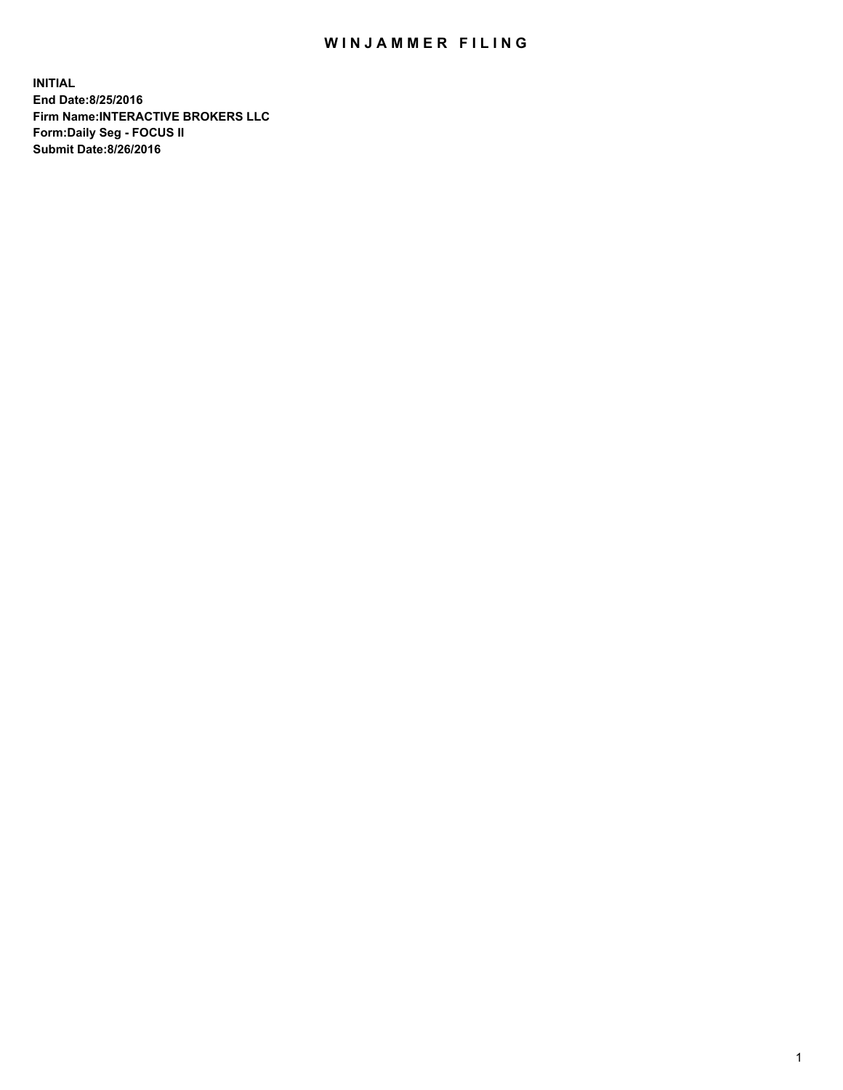## WIN JAMMER FILING

**INITIAL End Date:8/25/2016 Firm Name:INTERACTIVE BROKERS LLC Form:Daily Seg - FOCUS II Submit Date:8/26/2016**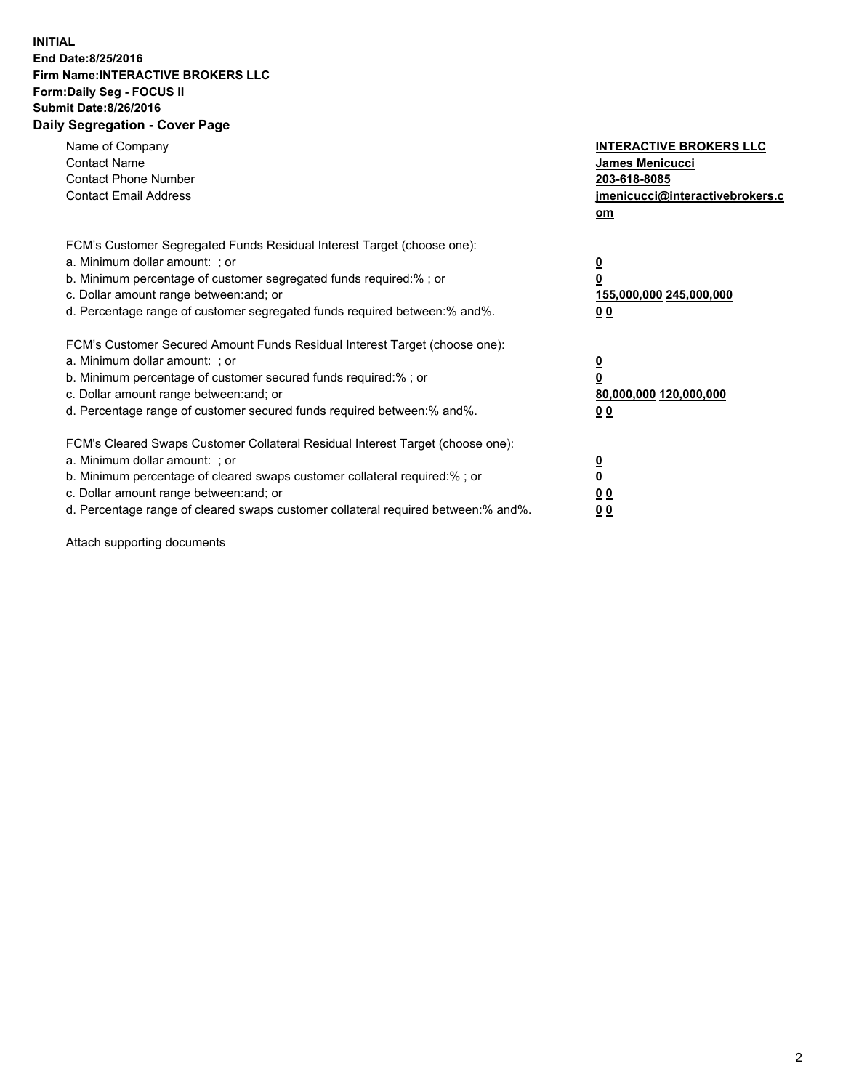## **INITIAL End Date:8/25/2016 Firm Name:INTERACTIVE BROKERS LLC Form:Daily Seg - FOCUS II Submit Date:8/26/2016 Daily Segregation - Cover Page**

| Name of Company<br><b>Contact Name</b><br><b>Contact Phone Number</b><br><b>Contact Email Address</b>                                                                                                                                                                                                                          | <b>INTERACTIVE BROKERS LLC</b><br>James Menicucci<br>203-618-8085<br>jmenicucci@interactivebrokers.c<br>om |
|--------------------------------------------------------------------------------------------------------------------------------------------------------------------------------------------------------------------------------------------------------------------------------------------------------------------------------|------------------------------------------------------------------------------------------------------------|
| FCM's Customer Segregated Funds Residual Interest Target (choose one):<br>a. Minimum dollar amount: ; or<br>b. Minimum percentage of customer segregated funds required:%; or<br>c. Dollar amount range between: and; or<br>d. Percentage range of customer segregated funds required between:% and%.                          | $\overline{\mathbf{0}}$<br>0<br>155,000,000 245,000,000<br>0 <sub>0</sub>                                  |
| FCM's Customer Secured Amount Funds Residual Interest Target (choose one):<br>a. Minimum dollar amount: ; or<br>b. Minimum percentage of customer secured funds required:%; or<br>c. Dollar amount range between: and; or<br>d. Percentage range of customer secured funds required between:% and%.                            | $\overline{\mathbf{0}}$<br>$\overline{\mathbf{0}}$<br>80,000,000 120,000,000<br>00                         |
| FCM's Cleared Swaps Customer Collateral Residual Interest Target (choose one):<br>a. Minimum dollar amount: ; or<br>b. Minimum percentage of cleared swaps customer collateral required:% ; or<br>c. Dollar amount range between: and; or<br>d. Percentage range of cleared swaps customer collateral required between:% and%. | $\overline{\mathbf{0}}$<br>$\overline{\mathbf{0}}$<br>0 <sub>0</sub><br><u>00</u>                          |

Attach supporting documents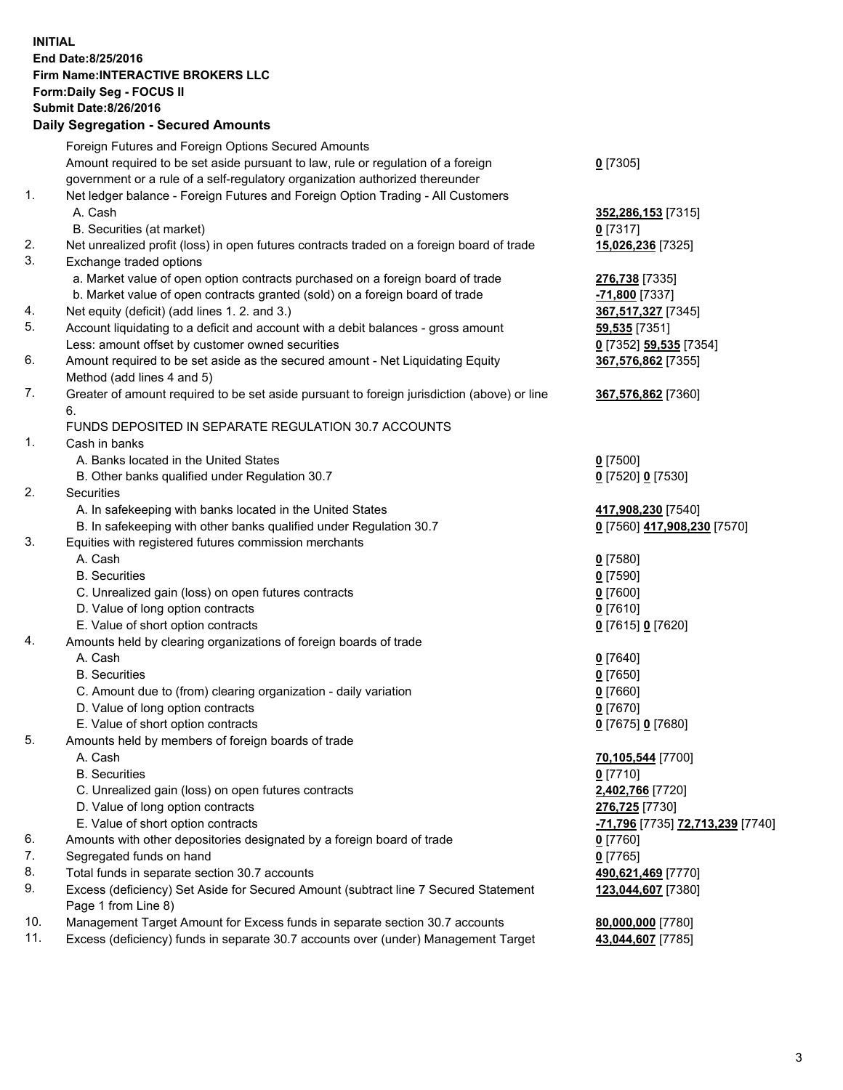## **INITIAL End Date:8/25/2016 Firm Name:INTERACTIVE BROKERS LLC Form:Daily Seg - FOCUS II Submit Date:8/26/2016 Daily Segregation - Secured Amounts**

|     | Daily Ocglegation - Occuled Amounts                                                                        |                                  |
|-----|------------------------------------------------------------------------------------------------------------|----------------------------------|
|     | Foreign Futures and Foreign Options Secured Amounts                                                        |                                  |
|     | Amount required to be set aside pursuant to law, rule or regulation of a foreign                           | $0$ [7305]                       |
|     | government or a rule of a self-regulatory organization authorized thereunder                               |                                  |
| 1.  | Net ledger balance - Foreign Futures and Foreign Option Trading - All Customers                            |                                  |
|     | A. Cash                                                                                                    | 352,286,153 [7315]               |
|     | B. Securities (at market)                                                                                  | $0$ [7317]                       |
| 2.  | Net unrealized profit (loss) in open futures contracts traded on a foreign board of trade                  | 15,026,236 [7325]                |
| 3.  | Exchange traded options                                                                                    |                                  |
|     | a. Market value of open option contracts purchased on a foreign board of trade                             | 276,738 [7335]                   |
|     | b. Market value of open contracts granted (sold) on a foreign board of trade                               | -71,800 <sup>[7337]</sup>        |
| 4.  | Net equity (deficit) (add lines 1. 2. and 3.)                                                              | 367,517,327 [7345]               |
| 5.  | Account liquidating to a deficit and account with a debit balances - gross amount                          | 59,535 [7351]                    |
|     | Less: amount offset by customer owned securities                                                           | 0 [7352] 59,535 [7354]           |
| 6.  | Amount required to be set aside as the secured amount - Net Liquidating Equity                             | 367,576,862 [7355]               |
|     | Method (add lines 4 and 5)                                                                                 |                                  |
| 7.  | Greater of amount required to be set aside pursuant to foreign jurisdiction (above) or line                | 367,576,862 [7360]               |
|     | 6.                                                                                                         |                                  |
|     | FUNDS DEPOSITED IN SEPARATE REGULATION 30.7 ACCOUNTS                                                       |                                  |
| 1.  | Cash in banks                                                                                              |                                  |
|     | A. Banks located in the United States                                                                      | $0$ [7500]                       |
|     | B. Other banks qualified under Regulation 30.7                                                             | 0 [7520] 0 [7530]                |
| 2.  | Securities                                                                                                 |                                  |
|     | A. In safekeeping with banks located in the United States                                                  | 417,908,230 [7540]               |
|     | B. In safekeeping with other banks qualified under Regulation 30.7                                         | 0 [7560] 417,908,230 [7570]      |
| 3.  | Equities with registered futures commission merchants                                                      |                                  |
|     | A. Cash                                                                                                    | $0$ [7580]                       |
|     | <b>B.</b> Securities                                                                                       | $0$ [7590]                       |
|     | C. Unrealized gain (loss) on open futures contracts                                                        | $0$ [7600]                       |
|     | D. Value of long option contracts                                                                          | $0$ [7610]                       |
|     | E. Value of short option contracts                                                                         | 0 [7615] 0 [7620]                |
| 4.  | Amounts held by clearing organizations of foreign boards of trade                                          |                                  |
|     | A. Cash                                                                                                    | $0$ [7640]                       |
|     | <b>B.</b> Securities                                                                                       | $0$ [7650]                       |
|     | C. Amount due to (from) clearing organization - daily variation                                            | $0$ [7660]                       |
|     | D. Value of long option contracts                                                                          | $0$ [7670]                       |
|     | E. Value of short option contracts                                                                         | 0 [7675] 0 [7680]                |
| 5.  | Amounts held by members of foreign boards of trade                                                         |                                  |
|     | A. Cash                                                                                                    | 70,105,544 [7700]                |
|     | <b>B.</b> Securities                                                                                       | $0$ [7710]                       |
|     | C. Unrealized gain (loss) on open futures contracts                                                        | 2,402,766 [7720]                 |
|     | D. Value of long option contracts                                                                          | 276,725 [7730]                   |
|     | E. Value of short option contracts                                                                         | -71,796 [7735] 72,713,239 [7740] |
| 6.  | Amounts with other depositories designated by a foreign board of trade                                     | 0 [7760]                         |
| 7.  | Segregated funds on hand                                                                                   | $0$ [7765]                       |
| 8.  | Total funds in separate section 30.7 accounts                                                              | 490,621,469 [7770]               |
| 9.  | Excess (deficiency) Set Aside for Secured Amount (subtract line 7 Secured Statement<br>Page 1 from Line 8) | 123,044,607 [7380]               |
| 10. | Management Target Amount for Excess funds in separate section 30.7 accounts                                | 80,000,000 [7780]                |
| 11. | Excess (deficiency) funds in separate 30.7 accounts over (under) Management Target                         | 43,044,607 [7785]                |
|     |                                                                                                            |                                  |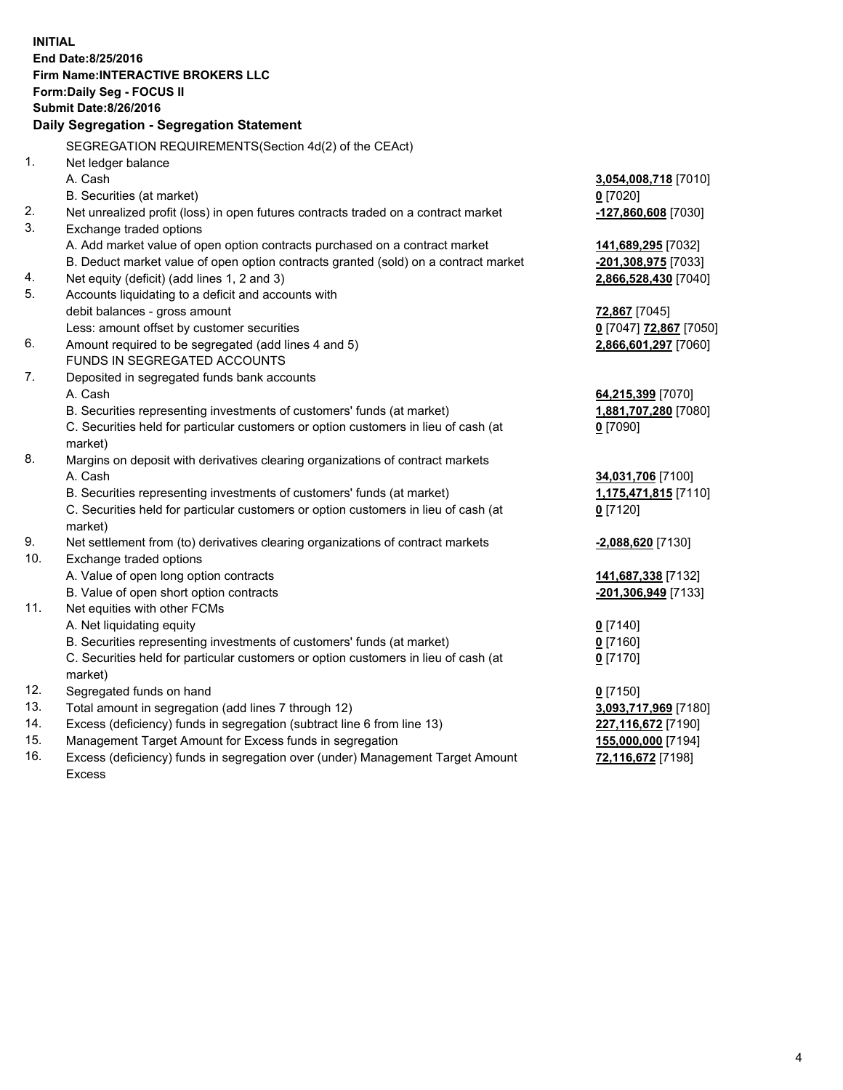**INITIAL End Date:8/25/2016 Firm Name:INTERACTIVE BROKERS LLC Form:Daily Seg - FOCUS II Submit Date:8/26/2016 Daily Segregation - Segregation Statement** SEGREGATION REQUIREMENTS(Section 4d(2) of the CEAct) 1. Net ledger balance A. Cash **3,054,008,718** [7010] B. Securities (at market) **0** [7020] 2. Net unrealized profit (loss) in open futures contracts traded on a contract market **-127,860,608** [7030] 3. Exchange traded options A. Add market value of open option contracts purchased on a contract market **141,689,295** [7032] B. Deduct market value of open option contracts granted (sold) on a contract market **-201,308,975** [7033] 4. Net equity (deficit) (add lines 1, 2 and 3) **2,866,528,430** [7040] 5. Accounts liquidating to a deficit and accounts with debit balances - gross amount **72,867** [7045] Less: amount offset by customer securities **0** [7047] **72,867** [7050] 6. Amount required to be segregated (add lines 4 and 5) **2,866,601,297** [7060] FUNDS IN SEGREGATED ACCOUNTS 7. Deposited in segregated funds bank accounts A. Cash **64,215,399** [7070] B. Securities representing investments of customers' funds (at market) **1,881,707,280** [7080] C. Securities held for particular customers or option customers in lieu of cash (at market) **0** [7090] 8. Margins on deposit with derivatives clearing organizations of contract markets A. Cash **34,031,706** [7100] B. Securities representing investments of customers' funds (at market) **1,175,471,815** [7110] C. Securities held for particular customers or option customers in lieu of cash (at market) **0** [7120] 9. Net settlement from (to) derivatives clearing organizations of contract markets **-2,088,620** [7130] 10. Exchange traded options A. Value of open long option contracts **141,687,338** [7132] B. Value of open short option contracts **-201,306,949** [7133] 11. Net equities with other FCMs A. Net liquidating equity **0** [7140] B. Securities representing investments of customers' funds (at market) **0** [7160] C. Securities held for particular customers or option customers in lieu of cash (at market) **0** [7170] 12. Segregated funds on hand **0** [7150] 13. Total amount in segregation (add lines 7 through 12) **3,093,717,969** [7180] 14. Excess (deficiency) funds in segregation (subtract line 6 from line 13) **227,116,672** [7190] 15. Management Target Amount for Excess funds in segregation **155,000,000** [7194] 16. Excess (deficiency) funds in segregation over (under) Management Target Amount **72,116,672** [7198]

Excess